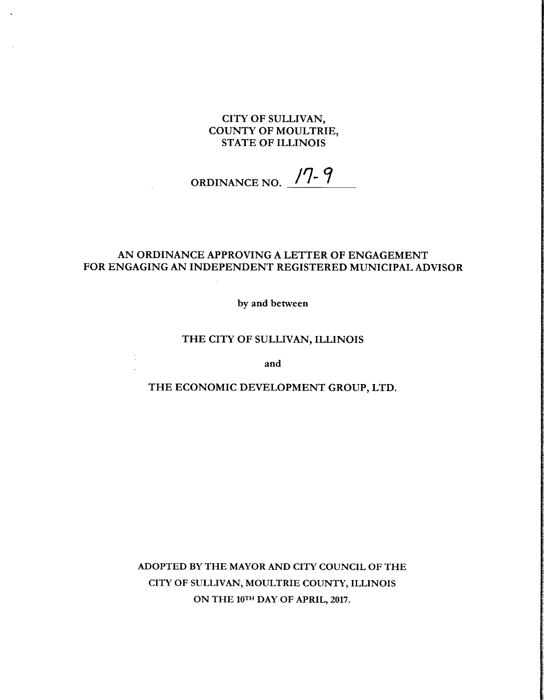### CITY OF SULLIVAN, COUNTY OF MOULTRIE, STATE OF ILLINOIS

# ORDINANCE NO. 17-9

## AN ORDINANCE APPROVING A LETTER OF ENGAGEMENT FOR ENGAGING AN INDEPENDENT REGISTERED MUNICIPAL ADVISOR

by and between

### THE CITY OF SULLIVAN, ILLINOIS

and

THE ECONOMIC DEVELOPMENT GROUP, LTD.

ADOPTED BY THE MAYOR AND CITY COUNCIL OF THE CITY OF SULLIVAN, MOULTRIE COUNTY, ILLINOIS ON THE 10TH DAY OF APRIL, 2017.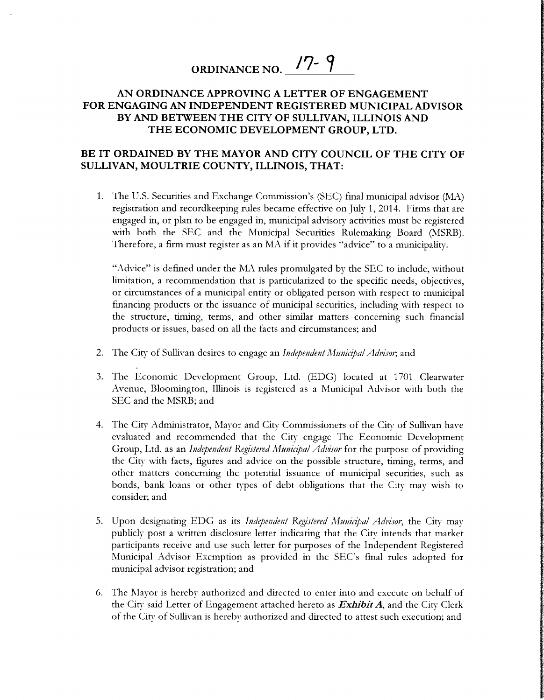# ORDINANCE NO. 17-9

### AN ORDINANCE APPROVING A LETTER OF ENGAGEMENT FOR ENGAGING AN INDEPENDENT REGISTERED MUNICIPAL ADVISOR BY AND BETWEEN THE CITY OF SULLIVAN, ILLINOIS AND THE ECONOMIC DEVELOPMENT GROUP, LTD.

### BE IT ORDAINED BY THE MAYOR AND CITY COUNCIL OF THE CITY OF SULLIVAN, MOULTRIE COUNTY, ILLINOIS, THAT:

1. The U.S. Securities and Exchange Commission's (SEC) final municipal advisor (MA) registration and recordkeeping rules became effective on July 1, 2014. Firms that are engaged in, or plan to be engaged in, municipal advisory activities must be registered with both the SEC and the Municipal Securities Rulemaking Board (MSRB). Therefore, a firm must register as an MA if it provides " advice" to <sup>a</sup> municipality.

Advice" is defined under the MA rules promulgated by the SEC to include, without limitation, a recommendation that is particularized to the specific needs, objectives, or circumstances of <sup>a</sup> municipal entity or obligated person with respect to municipal financing products or the issuance of municipal securities, including with respect to the structure, timing, terms, and other similar matters concerning such financial products or issues, based on all the facts and circumstances; and

- 2. The City of Sullivan desires to engage an Independent Municipal Advisor, and
- 3. The Economic Development Group, Ltd. (EDG) located at <sup>1701</sup> Clearwater Avenue, Bloomington, Illinois is registered as <sup>a</sup> Municipal Advisor with both the SEC and the MSRB; and
- 4. The City Administrator, Mayor and City Commissioners of the City of Sullivan have evaluated and recommended that the City engage The Economic Development Group, Ltd. as an Independent Registered Municipal Advisor for the purpose of providing the City with facts, figures and advice on the possible structure, timing, terms, and other matters concerning the potential issuance of municipal securities, such as bonds, bank loans or other types of debt obligations that the City may wish to consider; and
- 5. Upon designating EDG as its Independent Registered Municipal Advisor, the City may publicly post <sup>a</sup> written disclosure letter indicating that the City intends that market participants receive and use such letter for purposes of the Independent Registered Municipal Advisor Exemption as provided in the SEC's final rules adopted for municipal advisor registration; and
- 6. The Mayor is hereby authorized and directed to enter into and execute on behalf of the City said Letter of Engagement attached hereto as  $\boldsymbol{Exhibit}$  A, and the City Clerk of the City of Sullivan is hereby authorized and directed to attest such execution; and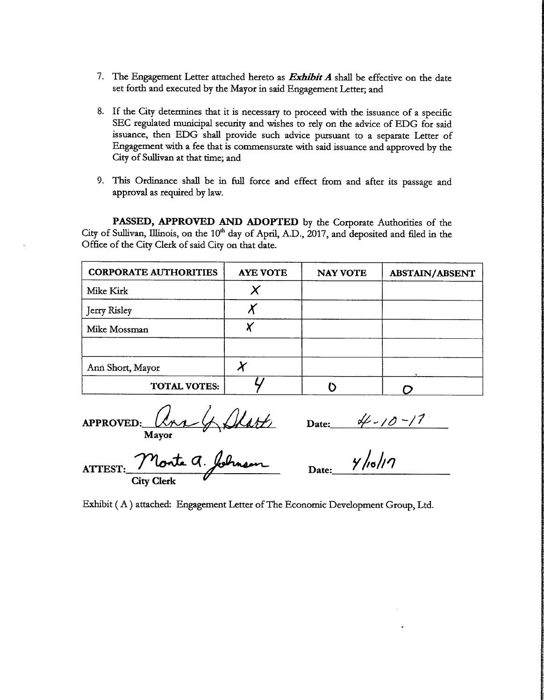- 7. The Engagement Letter attached hereto as *Exhibit A* shall be effective on the date set forth and executed by the Mayor in said Engagement Letter; and
- 8. If the City determines that it is necessary to proceed with the issuance of <sup>a</sup> specific SEC regulated municipal security and wishes to rely on the advice of EDG for said issuance, then EDG shall provide such advice pursuant to <sup>a</sup> separate Letter of Engagement with <sup>a</sup> fee that is commensurate with said issuance and approved by the City of Sullivan at that time; and
- 9. This Ordinance shall be in full force and effect from and after its passage and approval as required by law.

PASSED, APPROVED AND ADOPTED by the Corporate Authorities of the City of Sullivan, Illinois, on the 10<sup>th</sup> day of April, A.D., 2017, and deposited and filed in the Office of the City Clerk of said City on that date.

| <b>CORPORATE AUTHORITIES</b> | <b>AYE VOTE</b> | <b>NAY VOTE</b> | <b>ABSTAIN/ABSENT</b> |
|------------------------------|-----------------|-----------------|-----------------------|
| Mike Kirk                    |                 |                 |                       |
| Jerry Risley                 |                 |                 |                       |
| Mike Mossman                 |                 |                 |                       |
|                              |                 |                 |                       |
| Ann Short, Mayor             |                 |                 |                       |
| <b>TOTAL VOTES:</b>          |                 |                 |                       |

APPROVED:  $(n + 44)$ Mayor

ATTEST: Monte 9 City Clerk

Date: *Y 11*0/17

Exhibit (A) attached: Engagement Letter of The Economic Development Group, Ltd.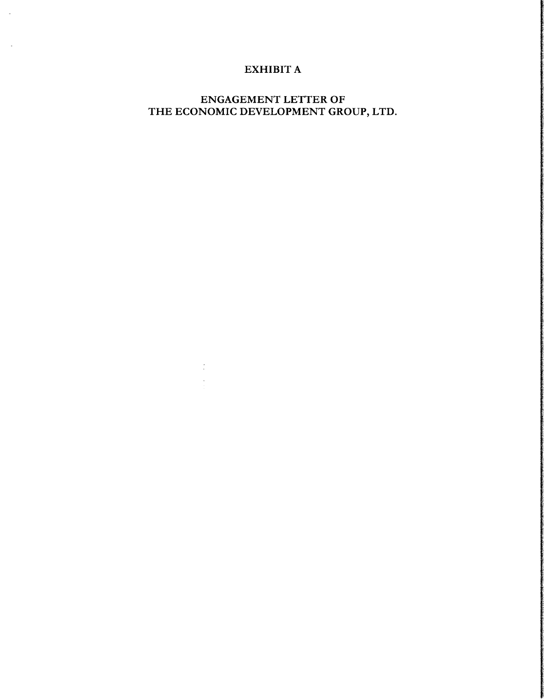## EXHIBIT A

i.

# ENGAGEMENT LETTER OF THE ECONOMIC DEVELOPMENT GROUP, LTD.

 $\mathcal{L}^{(1)}$  $\mathcal{L}$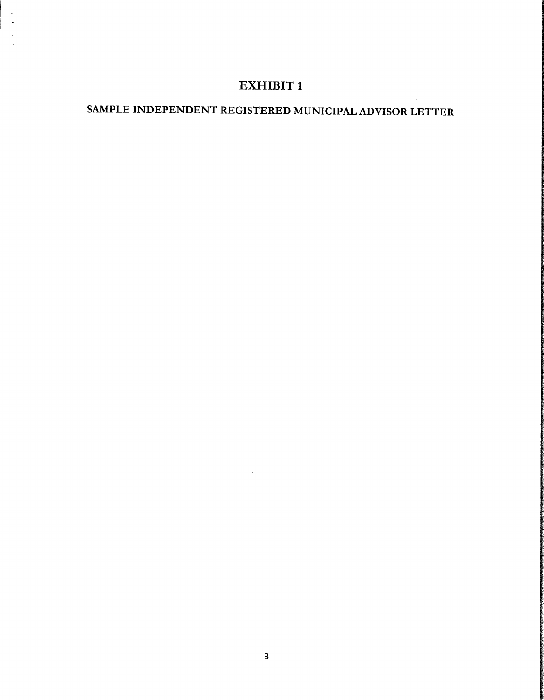# EXHIBIT <sup>1</sup>

 $\sim$  $\bar{\mathcal{A}}$ 

# SAMPLE INDEPENDENT REGISTERED MUNICIPAL ADVISOR LETTER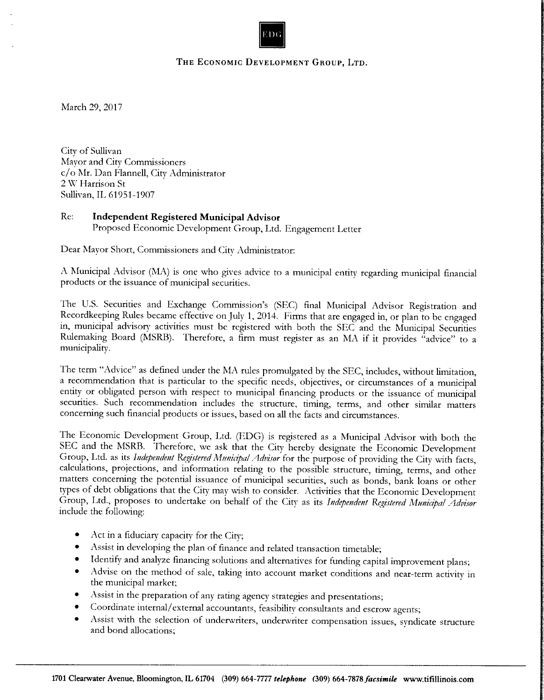# I: I)(;

### THE ECONOMIC DEVELOPMENT GROUP, LTD.

March 29, 2017

City of Sullivan Mayor and City Commissioners c/ o Mr. Dan Flannell, City Administrator 2 W Harrison St Sullivan, IL 61951-1907

### Re: Independent Registered Municipal Advisor Proposed Economic Development Group, Ltd. Engagement Letter

Dear Mayor Short, Commissioners and City Administrator:

A Municipal Advisor (MA) is one who gives advice to <sup>a</sup> municipal entity regarding municipal financial products or the issuance of municipal securities.

The U.S. Securities and Exchange Commission's (SEC) final Municipal Advisor Registration and Recordkeeping Rules became effective on July 1, 2014. Firms that are engaged in, or plan to be engaged in, municipal advisory activities must be registered with both the SEC and the Municipal Securities Rulemaking Board (MSRB). Therefore, a firm must register as an MA if it provides "advice" to a municipality.

The term "Advice" as defined under the MA rules promulgated by the SEC, includes, without limitation, <sup>a</sup> recommendation that is particular to the specific needs, objectives, or circumstances of <sup>a</sup> municipal entity or obligated person with respect to municipal financing products or the issuance of municipal securities. Such recommendation includes the structure, timing, terms, and other similar matters concerning such financial products or issues, based on all the facts and circumstances.

The Economic Development Group, Ltd. (EDG) is registered as <sup>a</sup> Municipal Advisor with both the SEC and the MSRB. Therefore, we ask that the City hereby designate the Economic Development Group, Ltd. as its Independent Registered Municipal Advisor for the purpose of providing the City with facts, calculations, projections, and information relating to the possible structure, timing, terms, and other matters concerning the potential issuance of municipal securities, such as bonds, bank loans or other types of debt obligations that the City may wish to consider. Activities that the Economic Development Group, Ltd., proposes to undertake on behalf of the City as its Independent Registered Municipal Advisor include the following:

- Act in <sup>a</sup> fiduciary capacity for the City;  $\bullet$
- Assist in developing the plan of finance and related transaction timetable;
- Identify and analyze financing solutions and alternatives for funding capital improvement plans;
- Advise on the method of sale, taking into account market conditions and near-term activity in the municipal market;
- Assist in the preparation of any rating agency strategies and presentations;
- Coordinate internal/ external accountants, feasibility consultants and escrow agents;
- Assist with the selection of underwriters, underwriter compensation issues, syndicate structure and bond allocations;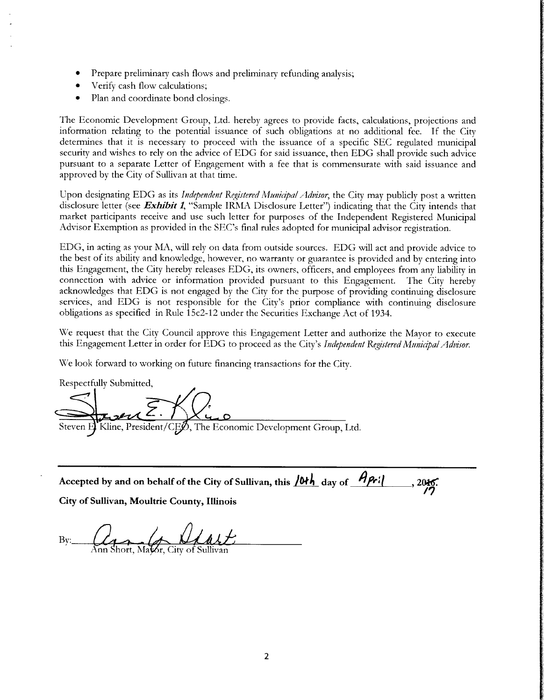- Prepare preliminary cash flows and preliminary refunding analysis;
- Verify cash flow calculations;
- Plan and coordinate bond closings.

The Economic Development Group, Ltd. hereby agrees to provide facts, calculations, projections and information relating to the potential issuance of such obligations at no additional fee. If the City determines that it is necessary to proceed with the issuance of <sup>a</sup> specific SEC regulated municipal security and wishes to rely on the advice of EDG for said issuance, then EDG shall provide such advice pursuant to <sup>a</sup> separate Letter of Engagement with <sup>a</sup> fee that is commensurate with said issuance and approved by the City of Sullivan at that time.

Upon designating EDG as its *Independent Registered Municipal Advisor*, the City may publicly post a written disclosure letter (see *Exhibit 1*, "Sample IRMA Disclosure Letter") indicating that the City intends that market participants receive and use such letter for purposes of the Independent Registered Municipal Advisor Exemption as provided in the SEC' <sup>s</sup> final rules adopted for municipal advisor registration.

EDG, in acting as your MA, will rely on data from outside sources. EDG will act and provide advice to the best of its ability and knowledge, however, no warranty or guarantee is provided and by entering into this Engagement, the City hereby releases EDG, its owners, officers, and employees from any liability in connection with advice or information provided pursuant to this Engagement. The City hereby acknowledges that EDG is not engaged by the City for the purpose of providing continuing disclosure services, and EDG is not responsible for the City's prior compliance with continuing disclosure obligations as specified in Rule 15c2- <sup>12</sup> under the Securities Exchange Act of 1934. Pregner profitements can't from and pedimienty refuseling analysis,<br>
Yerif, realistic or schemes of the society.<br>
This mean is expected and the society of the society of the society of the society of the society of the so

We request that the City Council approve this Engagement Letter and authorize the Mayor to execute this Engagement Letter in order for EDG to proceed as the City's Independent Registered Municipal Advisor.

We look forward to working on future financing transactions for the City.

Respectfully Submitted, Kline, President/CEO, The Economic Development Group, Ltd.

Accepted by and on behalf of the City of Sullivan, this  $10th$  day of  $\frac{Api!}{ }$  $2045.$ 

City of Sullivan, Moultrie County, Illinois

By:  $\sqrt{1+1}$